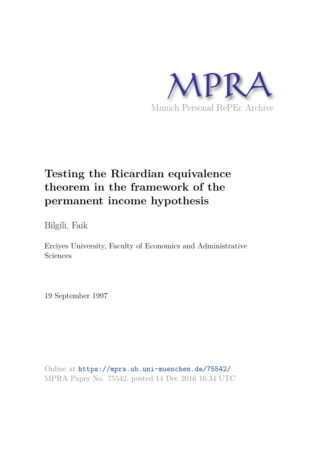

# **Testing the Ricardian equivalence theorem in the framework of the permanent income hypothesis**

Bilgili, Faik

Erciyes University, Faculty of Economics and Administrative Sciences

19 September 1997

Online at https://mpra.ub.uni-muenchen.de/75542/ MPRA Paper No. 75542, posted 14 Dec 2016 16:34 UTC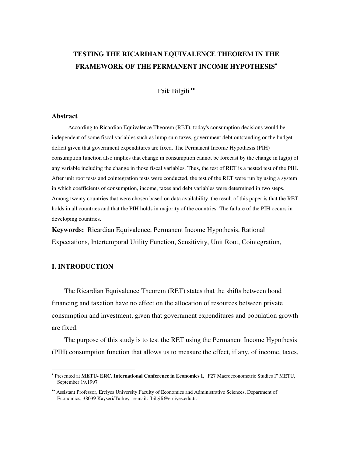# **TESTING THE RICARDIAN EQUIVALENCE THEOREM IN THE FRAMEWORK OF THE PERMANENT INCOME HYPOTHESIS**

Faik Bilgili

### **Abstract**

According to Ricardian Equivalence Theorem (RET), today's consumption decisions would be independent of some fiscal variables such as lump sum taxes, government debt outstanding or the budget deficit given that government expenditures are fixed. The Permanent Income Hypothesis (PIH) consumption function also implies that change in consumption cannot be forecast by the change in lag(s) of any variable including the change in those fiscal variables. Thus, the test of RET is a nested test of the PIH. After unit root tests and cointegration tests were conducted, the test of the RET were run by using a system in which coefficients of consumption, income, taxes and debt variables were determined in two steps. Among twenty countries that were chosen based on data availability, the result of this paper is that the RET holds in all countries and that the PIH holds in majority of the countries. The failure of the PIH occurs in developing countries.

**Keywords:** Ricardian Equivalence, Permanent Income Hypothesis, Rational Expectations, Intertemporal Utility Function, Sensitivity, Unit Root, Cointegration,

### **I. INTRODUCTION**

 $\overline{a}$ 

The Ricardian Equivalence Theorem (RET) states that the shifts between bond financing and taxation have no effect on the allocation of resources between private consumption and investment, given that government expenditures and population growth are fixed.

The purpose of this study is to test the RET using the Permanent Income Hypothesis (PIH) consumption function that allows us to measure the effect, if any, of income, taxes,

 Presented at **METU- ERC**, **International Conference in Economics I**, "F27 Macroeconometric Studies I" METU, September 19,1997

Assistant Professor, Erciyes University Faculty of Economics and Administrative Sciences, Department of Economics, 38039 Kayseri/Turkey. e-mail: fbilgili@erciyes.edu.tr.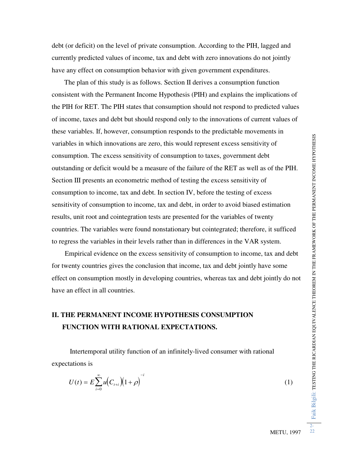debt (or deficit) on the level of private consumption. According to the PIH, lagged and currently predicted values of income, tax and debt with zero innovations do not jointly have any effect on consumption behavior with given government expenditures.

The plan of this study is as follows. Section II derives a consumption function consistent with the Permanent Income Hypothesis (PIH) and explains the implications of the PIH for RET. The PIH states that consumption should not respond to predicted values of income, taxes and debt but should respond only to the innovations of current values of these variables. If, however, consumption responds to the predictable movements in variables in which innovations are zero, this would represent excess sensitivity of consumption. The excess sensitivity of consumption to taxes, government debt outstanding or deficit would be a measure of the failure of the RET as well as of the PIH. Section III presents an econometric method of testing the excess sensitivity of consumption to income, tax and debt. In section IV, before the testing of excess sensitivity of consumption to income, tax and debt, in order to avoid biased estimation results, unit root and cointegration tests are presented for the variables of twenty countries. The variables were found nonstationary but cointegrated; therefore, it sufficed to regress the variables in their levels rather than in differences in the VAR system.

 Empirical evidence on the excess sensitivity of consumption to income, tax and debt for twenty countries gives the conclusion that income, tax and debt jointly have some effect on consumption mostly in developing countries, whereas tax and debt jointly do not have an effect in all countries.

## **II. THE PERMANENT INCOME HYPOTHESIS CONSUMPTION FUNCTION WITH RATIONAL EXPECTATIONS.**

 Intertemporal utility function of an infinitely-lived consumer with rational expectations is

$$
U(t) = E \sum_{i=0}^{\infty} u \Big( C_{t+i} \Big) \Big( 1 + \rho \Big)^{-i} \tag{1}
$$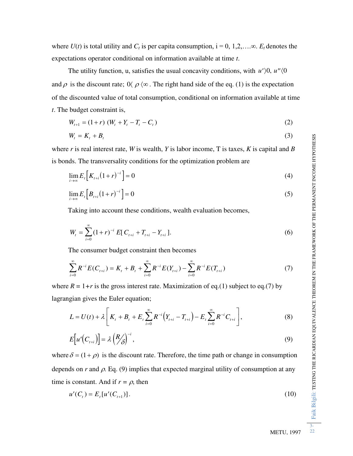where  $U(t)$  is total utility and  $C_t$  is per capita consumption,  $i = 0, 1, 2, \ldots, \infty$ .  $E_t$  denotes the expectations operator conditional on information available at time *t*.

The utility function, u, satisfies the usual concavity conditions, with  $u'$ ,  $\theta$ ,  $u''$ ,  $\theta$ and  $\rho$  is the discount rate;  $0 \langle \rho \langle \infty \rangle$ . The right hand side of the eq. (1) is the expectation of the discounted value of total consumption, conditional on information available at time *t*. The budget constraint is,

$$
W_{t+1} = (1+r) (W_t + Y_t - T_t - C_t)
$$
\n(2)

$$
W_t = K_t + B_t \tag{3}
$$

where *r* is real interest rate, *W* is wealth, *Y* is labor income, T is taxes, *K* is capital and *B* is bonds. The transversality conditions for the optimization problem are

$$
\lim_{i \to \infty} E_t \left[ K_{t+i} (1+r)^{-i} \right] = 0 \tag{4}
$$

$$
\lim_{i \to \infty} E_t \Big[ B_{t+i} (1+r)^{-i} \Big] = 0 \tag{5}
$$

Taking into account these conditions, wealth evaluation becomes,

$$
W_{t} = \sum_{i=0}^{\infty} (1+r)^{-i} E[C_{t+i} + T_{t+i} - Y_{t+i}].
$$
 (6)

The consumer budget constraint then becomes

$$
\sum_{i=0}^{\infty} R^{-i} E(C_{t+i}) = K_t + B_t + \sum_{i=0}^{\infty} R^{-i} E(Y_{t+i}) - \sum_{i=0}^{\infty} R^{-i} E(T_{t+i})
$$
(7)

where  $R = 1+r$  is the gross interest rate. Maximization of eq.(1) subject to eq.(7) by lagrangian gives the Euler equation;

$$
L = U(t) + \lambda \left[ K_t + B_t + E_t \sum_{i=0}^{\infty} R^{-i} \left( Y_{t+i} - T_{t+i} \right) - E_t \sum_{i=0}^{\infty} R^{-i} C_{t+i} \right],
$$
 (8)

$$
E[u'(C_{t+i})] = \lambda \left(\frac{R}{\delta}\right)^{-i},\tag{9}
$$

where  $\delta = (1 + \rho)$  is the discount rate. Therefore, the time path or change in consumption depends on  $r$  and  $\rho$ . Eq. (9) implies that expected marginal utility of consumption at any time is constant. And if  $r = \rho$ , then

$$
u'(C_t) = E_t[u'(C_{t+1})].
$$
\n(10)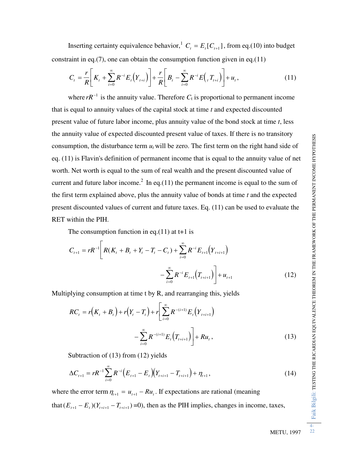Inserting certainty equivalence behavior,  $^1 C_t = E_t[C_{t+1}]$ , from eq.(10) into budget constraint in eq.(7), one can obtain the consumption function given in eq.(11)

$$
C_{t} = \frac{r}{R} \left[ K_{t} + \sum_{i=0}^{\infty} R^{-i} E_{t} \left( Y_{t+i} \right) \right] + \frac{r}{R} \left[ B_{t} - \sum_{i=0}^{\infty} R^{-i} E \left( T_{t+i} \right) \right] + u_{t}, \qquad (11)
$$

where  $rR^{-1}$  is the annuity value. Therefore  $C_t$  is proportional to permanent income that is equal to annuity values of the capital stock at time *t* and expected discounted present value of future labor income, plus annuity value of the bond stock at time *t*, less the annuity value of expected discounted present value of taxes. If there is no transitory consumption, the disturbance term  $u_t$  will be zero. The first term on the right hand side of eq. (11) is Flavin's definition of permanent income that is equal to the annuity value of net worth. Net worth is equal to the sum of real wealth and the present discounted value of current and future labor income.<sup>2</sup> In eq.(11) the permanent income is equal to the sum of the first term explained above, plus the annuity value of bonds at time *t* and the expected present discounted values of current and future taxes. Eq. (11) can be used to evaluate the RET within the PIH.

The consumption function in eq.(11) at  $t+1$  is

$$
C_{t+1} = rR^{-1} \left[ R(K_t + B_t + Y_t - T_t - C_t) + \sum_{i=0}^{\infty} R^{-i} E_{t+1} (Y_{t+i+1}) - \sum_{i=0}^{\infty} R^{-i} E_{t+1} (T_{t+i+1}) \right] + u_{t+1}
$$
(12)

Multiplying consumption at time t by R, and rearranging this, yields

$$
RC_{t} = r(K_{t} + B_{t}) + r(Y_{t} - T_{t}) + r\left[\sum_{i=0}^{\infty} R^{-(i+1)} E_{t}(Y_{t+i+1})\right] + Ru_{t},
$$
\n
$$
-\sum_{i=0}^{\infty} R^{-(i+1)} E_{t}(T_{t+i+1}) + Ru_{t},
$$
\n(13)

Subtraction of (13) from (12) yields

$$
\Delta C_{t+1} = rR^{-1} \sum_{i=0}^{\infty} R^{-i} \Big( E_{t+1} - E_t \Big) \Big( Y_{t+i+1} - T_{t+i+1} \Big) + \eta_{t+1} \,, \tag{14}
$$

where the error term  $\eta_{t+1} = u_{t+1} - Ru_t$ . If expectations are rational (meaning that  $(E_{t+1} - E_t)(Y_{t+i+1} - T_{t+i+1}) = 0$ , then as the PIH implies, changes in income, taxes,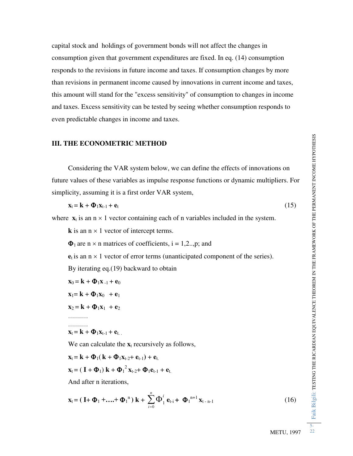capital stock and holdings of government bonds will not affect the changes in consumption given that government expenditures are fixed. In eq. (14) consumption responds to the revisions in future income and taxes. If consumption changes by more than revisions in permanent income caused by innovations in current income and taxes, this amount will stand for the "excess sensitivity" of consumption to changes in income and taxes. Excess sensitivity can be tested by seeing whether consumption responds to even predictable changes in income and taxes.

### **III. THE ECONOMETRIC METHOD**

 Considering the VAR system below, we can define the effects of innovations on future values of these variables as impulse response functions or dynamic multipliers. For simplicity, assuming it is a first order VAR system,

$$
\mathbf{x}_{t} = \mathbf{k} + \mathbf{\Phi}_{1}\mathbf{x}_{t-1} + \mathbf{e}_{t}
$$
 (15)

where  $\mathbf{x}_t$  is an  $n \times 1$  vector containing each of n variables included in the system.

**k** is an  $n \times 1$  vector of intercept terms.

 $\Phi_1$  are n  $\times$  n matrices of coefficients, i = 1,2..,p; and

 $e_t$  is an  $n \times 1$  vector of error terms (unanticipated component of the series).

By iterating eq.(19) backward to obtain

 $\mathbf{x}_0 = \mathbf{k} + \mathbf{\Phi}_1 \mathbf{x}_{-1} + \mathbf{e}_0$ 

$$
\mathbf{x}_1 = \mathbf{k} + \mathbf{\Phi}_1 \mathbf{x}_0 + \mathbf{e}_1
$$

 $X_2 = k + \Phi_1 X_1 + e_2$ 

................. .................

 $X_t = k + \Phi_1 X_{t-1} + e_{t}$ .

We can calculate the  $\mathbf{x}_t$  recursively as follows,

$$
\mathbf{x}_t = \mathbf{k} + \mathbf{\Phi}_1(\mathbf{k} + \mathbf{\Phi}_1 \mathbf{x}_{t-2} + \mathbf{e}_{t-1}) + \mathbf{e}_{t.}
$$

$$
\mathbf{x}_{t} = (\mathbf{I} + \mathbf{\Phi}_{1}) \mathbf{k} + {\mathbf{\Phi}_{1}}^{2} \mathbf{x}_{t-2} + \mathbf{\Phi}_{1} \mathbf{e}_{t-1} + \mathbf{e}_{t}
$$

And after n iterations,

$$
\mathbf{x}_{t} = (\mathbf{I} + \mathbf{\Phi}_{1} + \dots + \mathbf{\Phi}_{1}^{n}) \mathbf{k} + \sum_{i=0}^{n} \mathbf{\Phi}_{1}^{i} \mathbf{e}_{t-i} + \mathbf{\Phi}_{1}^{n+1} \mathbf{x}_{t-n-1}
$$
(16)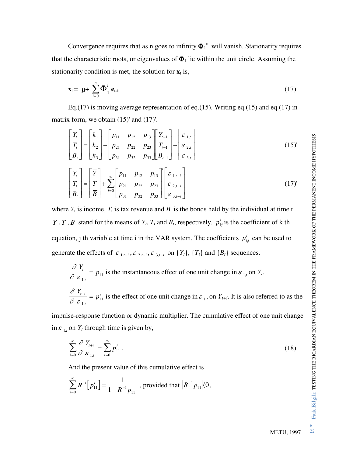Convergence requires that as n goes to infinity  $\Phi_1^{\text{n}}$  will vanish. Stationarity requires that the characteristic roots, or eigenvalues of  $\Phi_1$  lie within the unit circle. Assuming the stationarity condition is met, the solution for  $\mathbf{x}_t$  is,

$$
\mathbf{x}_{t} = \boldsymbol{\mu} + \sum_{i=0}^{n} \boldsymbol{\Phi}_{1}^{i} \boldsymbol{e}_{t-i}
$$
 (17)

Eq.(17) is moving average representation of eq.(15). Writing eq.(15) and eq.(17) in matrix form, we obtain (15)' and (17)'.

$$
\begin{bmatrix} Y_t \\ T_t \\ B_t \end{bmatrix} = \begin{bmatrix} k_1 \\ k_2 \\ k_3 \end{bmatrix} + \begin{bmatrix} p_{11} & p_{12} & p_{13} \\ p_{21} & p_{22} & p_{23} \\ p_{31} & p_{32} & p_{33} \end{bmatrix} \begin{bmatrix} Y_{t-1} \\ T_{t-1} \\ B_{t-1} \end{bmatrix} + \begin{bmatrix} \varepsilon_{1,t} \\ \varepsilon_{2,t} \\ \varepsilon_{3,t} \end{bmatrix}
$$
 (15)'

$$
\begin{bmatrix} Y_t \\ T_t \\ B_t \end{bmatrix} = \begin{bmatrix} \overline{Y} \\ \overline{T} \\ \overline{B} \end{bmatrix} + \sum_{i=0}^{\infty} \begin{bmatrix} p_{11} & p_{12} & p_{13} \\ p_{21} & p_{22} & p_{23} \\ p_{31} & p_{32} & p_{33} \end{bmatrix} \begin{bmatrix} \varepsilon_{1,t-i} \\ \varepsilon_{2,t-i} \\ \varepsilon_{3,t-i} \end{bmatrix}
$$
(17)

where  $Y_t$  is income,  $T_t$  is tax revenue and  $B_t$  is the bonds held by the individual at time t.  $\overline{Y}$ ,  $\overline{T}$ ,  $\overline{B}$  stand for the means of  $Y_t$ ,  $T_t$  and  $B_t$ , respectively.  $p_{kj}^i$  is the coefficient of k th equation, j th variable at time i in the VAR system. The coefficients  $p_{kj}^{i}$  can be used to generate the effects of  $\varepsilon_{1,t-i}$ ,  $\varepsilon_{2,t-i}$ ,  $\varepsilon_{3,t-i}$  on  $\{Y_t\}$ ,  $\{T_t\}$  and  $\{B_t\}$  sequences.

$$
\frac{\partial Y_t}{\partial \varepsilon_{1,t}} = p_{11}
$$
 is the instantaneous effect of one unit change in  $\varepsilon_{1,t}$  on  $Y_t$ .  

$$
\frac{\partial Y_{t+i}}{\partial \varepsilon_{1,t}} = p_{11}^i
$$
 is the effect of one unit change in  $\varepsilon_{1,t}$  on  $Y_{t+i}$ . It is also referred to as the

impulse-response function or dynamic multiplier. The cumulative effect of one unit change in  $\varepsilon$ <sub>1,*t*</sub> on  $Y_t$  through time is given by,

$$
\sum_{i=0}^{\infty} \frac{\partial Y_{t+i}}{\partial \varepsilon_{1,t}} = \sum_{i=0}^{\infty} p_{11}^i.
$$
 (18)

And the present value of this cumulative effect is

$$
\sum_{i=0}^{\infty} R^{-i} \Big[ p_{11}^i \Big] = \frac{1}{1 - R^{-1} p_{11}}, \text{ provided that } \Big| R^{-1} p_{11} \Big| \langle 0,
$$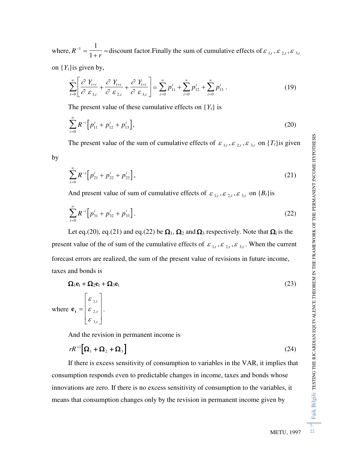where, *R r*  $^{-1}$  =  $\ddot{}$  $1 = \frac{1}{1}$  $\frac{1}{1+r}$  = discount factor. Finally the sum of cumulative effects of  $\varepsilon_{1,t}$ ,  $\varepsilon_{2,t}$ ,  $\varepsilon_{3,t}$ 

on  ${Y_t}$  is given by,

$$
\sum_{i=0}^{\infty} \left[ \frac{\partial Y_{t+i}}{\partial \varepsilon_{1,t}} + \frac{\partial Y_{t+i}}{\partial \varepsilon_{2,t}} + \frac{\partial Y_{t+i}}{\partial \varepsilon_{3,t}} \right] = \sum_{i=0}^{\infty} p_{11}^i + \sum_{i=0}^{\infty} p_{12}^i + \sum_{i=0}^{\infty} p_{13}^i.
$$
 (19)

The present value of these cumulative effects on  ${Y_t}$  is

$$
\sum_{i=0}^{\infty} R^{-i} \Big[ p_{11}^i + p_{12}^i + p_{13}^i \Big], \tag{20}
$$

The present value of the sum of cumulative effects of  $\varepsilon_{1,t}$ ,  $\varepsilon_{2,t}$ ,  $\varepsilon_{3,t}$  on  $\{T_t\}$  is given

by

$$
\sum_{i=0}^{\infty} R^{-i} \Big[ p_{21}^i + p_{22}^i + p_{23}^i \Big], \tag{21}
$$

And present value of sum of cumulative effects of  $\varepsilon_{1,t}$ ,  $\varepsilon_{2,t}$ ,  $\varepsilon_{3,t}$  on  $\{B_t\}$ is

$$
\sum_{i=0}^{\infty} R^{-i} \Big[ p_{31}^i + p_{32}^i + p_{33}^i \Big]. \tag{22}
$$

Let eq.(20), eq.(21) and eq.(22) be  $\Omega_1$ ,  $\Omega_2$  and  $\Omega_3$  respectively. Note that  $\Omega_i$  is the present value of the of sum of the cumulative effects of  $\varepsilon_{1,t}$ ,  $\varepsilon_{2,t}$ ,  $\varepsilon_{3,t}$ . When the current forecast errors are realized, the sum of the present value of revisions in future income, taxes and bonds is

$$
\Omega_1 \mathbf{e}_t + \Omega_2 \mathbf{e}_t + \Omega_3 \mathbf{e}_t \tag{23}
$$

where  $\mathbf{e}_t =$  $\mathbf{r}$ L  $\mathbf{r}$  $\mathbf{r}$  $\mathsf{L}$  $\overline{\phantom{a}}$  $\overline{\phantom{a}}$  $\overline{\phantom{a}}$  $\overline{\phantom{a}}$  $\overline{\phantom{a}}$ ε ε ε 1 2 3 , , *t ,t t* .

And the revision in permanent income is

$$
rR^{-1}[\Omega_1 + \Omega_2 + \Omega_3]
$$
 (24)

 If there is excess sensitivity of consumption to variables in the VAR, it implies that consumption responds even to predictable changes in income, taxes and bonds whose innovations are zero. If there is no excess sensitivity of consumption to the variables, it means that consumption changes only by the revision in permanent income given by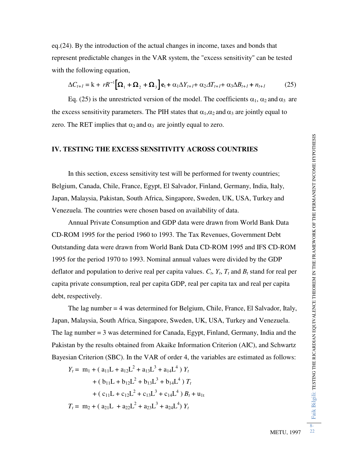eq.(24). By the introduction of the actual changes in income, taxes and bonds that represent predictable changes in the VAR system, the "excess sensitivity" can be tested with the following equation,

$$
\Delta C_{t+1} = \mathbf{k} + rR^{-1} \Big[ \mathbf{\Omega}_1 + \mathbf{\Omega}_2 + \mathbf{\Omega}_3 \Big] \mathbf{e}_t + \alpha_1 \Delta Y_{t+1} + \alpha_2 \Delta T_{t+1} + \alpha_3 \Delta B_{t+1} + n_{t+1} \tag{25}
$$

Eq. (25) is the unrestricted version of the model. The coefficients  $\alpha_1$ ,  $\alpha_2$  and  $\alpha_3$  are the excess sensitivity parameters. The PIH states that  $\alpha_1, \alpha_2$  and  $\alpha_3$  are jointly equal to zero. The RET implies that  $\alpha_2$  and  $\alpha_3$  are jointly equal to zero.

### **IV. TESTING THE EXCESS SENSITIVITY ACROSS COUNTRIES**

 In this section, excess sensitivity test will be performed for twenty countries; Belgium, Canada, Chile, France, Egypt, El Salvador, Finland, Germany, India, Italy, Japan, Malaysia, Pakistan, South Africa, Singapore, Sweden, UK, USA, Turkey and Venezuela. The countries were chosen based on availability of data.

 Annual Private Consumption and GDP data were drawn from World Bank Data CD-ROM 1995 for the period 1960 to 1993. The Tax Revenues, Government Debt Outstanding data were drawn from World Bank Data CD-ROM 1995 and IFS CD-ROM 1995 for the period 1970 to 1993. Nominal annual values were divided by the GDP deflator and population to derive real per capita values.  $C_t$ ,  $Y_t$ ,  $T_t$  and  $B_t$  stand for real per capita private consumption, real per capita GDP, real per capita tax and real per capita debt, respectively.

 The lag number = 4 was determined for Belgium, Chile, France, El Salvador, Italy, Japan, Malaysia, South Africa, Singapore, Sweden, UK, USA, Turkey and Venezuela. The lag number = 3 was determined for Canada, Egypt, Finland, Germany, India and the Pakistan by the results obtained from Akaike Information Criterion (AIC), and Schwartz Bayesian Criterion (SBC). In the VAR of order 4, the variables are estimated as follows:

$$
Y_t = m_1 + (a_{11}L + a_{12}L^2 + a_{13}L^3 + a_{14}L^4) Y_t
$$
  
+ 
$$
(b_{11}L + b_{12}L^2 + b_{13}L^3 + b_{14}L^4) T_t
$$
  
+ 
$$
(c_{11}L + c_{12}L^2 + c_{13}L^3 + c_{14}L^4) B_t + u_{1t}
$$
  

$$
T_t = m_2 + (a_{21}L + a_{22}L^2 + a_{23}L^3 + a_{24}L^4) Y_t
$$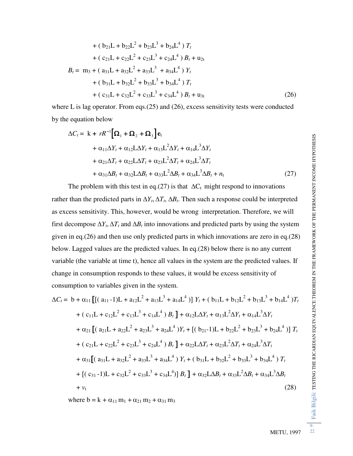+ 
$$
(b_{21}L + b_{22}L^2 + b_{23}L^3 + b_{24}L^4) T_t
$$
  
+  $(c_{21}L + c_{22}L^2 + c_{23}L^3 + c_{24}L^4) B_t + u_{2t}$   
 $B_t = m_3 + (a_{31}L + a_{32}L^2 + a_{33}L^3 + a_{34}L^4) Y_t$   
+  $(b_{31}L + b_{32}L^2 + b_{33}L^3 + b_{34}L^4) T_t$   
+  $(c_{31}L + c_{32}L^2 + c_{33}L^3 + c_{34}L^4) B_t + u_{3t}$  (26)

where L is lag operator. From eqs.(25) and (26), excess sensitivity tests were conducted by the equation below

$$
\Delta C_t = \mathbf{k} + rR^{-1} [\Omega_1 + \Omega_2 + \Omega_3] \mathbf{e}_t
$$
  
+  $\alpha_{11} \Delta Y_t + \alpha_{12} \Delta Y_t + \alpha_{13} \mathbf{L}^2 \Delta Y_t + \alpha_{14} \mathbf{L}^3 \Delta Y_t$   
+  $\alpha_{21} \Delta T_t + \alpha_{22} \mathbf{L} \Delta T_t + \alpha_{23} \mathbf{L}^2 \Delta T_t + \alpha_{24} \mathbf{L}^3 \Delta T_t$   
+  $\alpha_{31} \Delta B_t + \alpha_{32} \mathbf{L} \Delta B_t + \alpha_{33} \mathbf{L}^2 \Delta B_t + \alpha_{34} \mathbf{L}^3 \Delta B_t + n_t$  (27)

The problem with this test in eq.(27) is that  $\Delta C_t$  might respond to innovations rather than the predicted parts in  $\Delta Y_t$ ,  $\Delta T_t$ ,  $\Delta B_t$ . Then such a response could be interpreted as excess sensitivity. This, however, would be wrong interpretation. Therefore, we will first decompose  $\Delta Y_t$ ,  $\Delta T_t$  and  $\Delta B_t$  into innovations and predicted parts by using the system given in eq.(26) and then use only predicted parts in which innovations are zero in eq.(28) below. Lagged values are the predicted values. In eq.(28) below there is no any current variable (the variable at time t), hence all values in the system are the predicted values. If change in consumption responds to these values, it would be excess sensitivity of consumption to variables given in the system.

$$
\Delta C_{t} = b + \alpha_{11} \left[ \left[ (a_{11} - 1)L + a_{12}L^{2} + a_{13}L^{3} + a_{14}L^{4} \right] \right] Y_{t} + (b_{11}L + b_{12}L^{2} + b_{13}L^{3} + b_{14}L^{4})T_{t}
$$
  
+  $(c_{11}L + c_{12}L^{2} + c_{13}L^{3} + c_{14}L^{4})B_{t} + \alpha_{12}L\Delta Y_{t} + \alpha_{13}L^{2}\Delta Y_{t} + \alpha_{14}L^{3}\Delta Y_{t}$   
+  $\alpha_{21} \left[ (a_{21}L + a_{22}L^{2} + a_{23}L^{3} + a_{24}L^{4})Y_{t} + \left[ (b_{21} - 1)L + b_{22}L^{2} + b_{23}L^{3} + b_{24}L^{4} \right] \right] T_{t}$   
+  $(c_{21}L + c_{22}L^{2} + c_{23}L^{3} + c_{24}L^{4})B_{t} + \alpha_{22}L\Delta T_{t} + \alpha_{23}L^{2}\Delta T_{t} + \alpha_{24}L^{3}\Delta T_{t}$   
+  $\alpha_{31} \left[ (a_{31}L + a_{32}L^{2} + a_{33}L^{3} + a_{34}L^{4}) Y_{t} + (b_{31}L + b_{32}L^{2} + b_{33}L^{3} + b_{34}L^{4}) T_{t} + \left[ (c_{31} - 1)L + c_{32}L^{2} + c_{33}L^{3} + c_{34}L^{4} \right] B_{t} + \alpha_{32}L\Delta B_{t} + \alpha_{33}L^{2}\Delta B_{t} + \alpha_{34}L^{3}\Delta B_{t}$   
+  $v_{t}$  (28)

where  $b = k + \alpha_{11} m_1 + \alpha_{21} m_2 + \alpha_{31} m_3$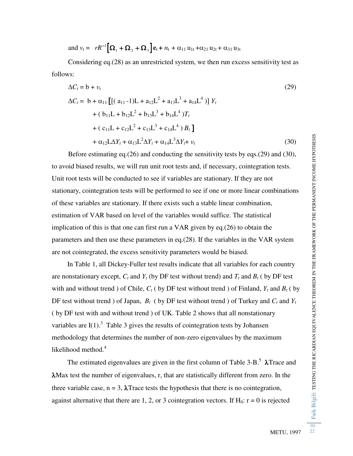and 
$$
v_t = rR^{-1}[\Omega_1 + \Omega_2 + \Omega_3]e_t + n_t + \alpha_{11}u_{1t} + \alpha_{21}u_{2t} + \alpha_{31}u_{3t}
$$

Considering eq.(28) as an unrestricted system, we then run excess sensitivity test as follows:

$$
\Delta C_t = b + v_t
$$
\n
$$
\Delta C_t = b + \alpha_{11} \left[ \left[ (a_{11} - 1)L + a_{12}L^2 + a_{13}L^3 + a_{14}L^4 \right] \right] Y_t
$$
\n
$$
+ (b_{11}L + b_{12}L^2 + b_{13}L^3 + b_{14}L^4) T_t
$$
\n
$$
+ (c_{11}L + c_{12}L^2 + c_{13}L^3 + c_{14}L^4) B_t \right]
$$
\n
$$
+ \alpha_{12}L\Delta Y_t + \alpha_{13}L^2\Delta Y_t + \alpha_{14}L^3\Delta Y_t + v_t
$$
\n(30)

 Before estimating eq.(26) and conducting the sensitivity tests by eqs.(29) and (30), to avoid biased results, we will run unit root tests and, if necessary, cointegration tests. Unit root tests will be conducted to see if variables are stationary. If they are not stationary, cointegration tests will be performed to see if one or more linear combinations of these variables are stationary. If there exists such a stable linear combination, estimation of VAR based on level of the variables would suffice. The statistical implication of this is that one can first run a VAR given by eq.(26) to obtain the parameters and then use these parameters in eq.(28). If the variables in the VAR system are not cointegrated, the excess sensitivity parameters would be biased.

 In Table 1, all Dickey-Fuller test results indicate that all variables for each country are nonstationary except,  $C_t$  and  $Y_t$  (by DF test without trend) and  $T_t$  and  $B_t$  (by DF test with and without trend ) of Chile,  $C_t$  (by DF test without trend ) of Finland,  $Y_t$  and  $B_t$  (by DF test without trend ) of Japan,  $B_t$  (by DF test without trend ) of Turkey and  $C_t$  and  $Y_t$ ( by DF test with and without trend ) of UK. Table 2 shows that all nonstationary variables are  $I(1)$ .<sup>3</sup> Table 3 gives the results of cointegration tests by Johansen methodology that determines the number of non-zero eigenvalues by the maximum likelihood method.<sup>4</sup>

The estimated eigenvalues are given in the first column of Table  $3-B$ .<sup>5</sup>  $\lambda$ Trace and Max test the number of eigenvalues, r, that are statistically different from zero. In the three variable case,  $n = 3$ ,  $\lambda$ Trace tests the hypothesis that there is no cointegration, against alternative that there are 1, 2, or 3 cointegration vectors. If  $H_0$ :  $r = 0$  is rejected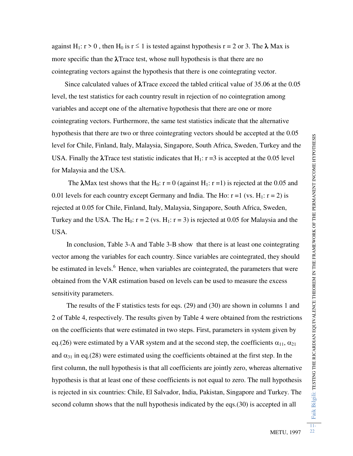against H<sub>1</sub>:  $r > 0$ , then H<sub>0</sub> is  $r \le 1$  is tested against hypothesis  $r = 2$  or 3. The  $\lambda$  Max is more specific than the  $\lambda$ Trace test, whose null hypothesis is that there are no cointegrating vectors against the hypothesis that there is one cointegrating vector.

Since calculated values of  $\lambda$ Trace exceed the tabled critical value of 35.06 at the 0.05 level, the test statistics for each country result in rejection of no cointegration among variables and accept one of the alternative hypothesis that there are one or more cointegrating vectors. Furthermore, the same test statistics indicate that the alternative hypothesis that there are two or three cointegrating vectors should be accepted at the 0.05 level for Chile, Finland, Italy, Malaysia, Singapore, South Africa, Sweden, Turkey and the USA. Finally the  $\lambda$ Trace test statistic indicates that H<sub>1</sub>:  $r = 3$  is accepted at the 0.05 level for Malaysia and the USA.

The  $\lambda$ Max test shows that the H<sub>0</sub>: r = 0 (against H<sub>1</sub>: r = 1) is rejected at the 0.05 and 0.01 levels for each country except Germany and India. The Ho:  $r = 1$  (vs. H<sub>1</sub>:  $r = 2$ ) is rejected at 0.05 for Chile, Finland, Italy, Malaysia, Singapore, South Africa, Sweden, Turkey and the USA. The H<sub>0</sub>:  $r = 2$  (vs. H<sub>1</sub>:  $r = 3$ ) is rejected at 0.05 for Malaysia and the USA.

 In conclusion, Table 3-A and Table 3-B show that there is at least one cointegrating vector among the variables for each country. Since variables are cointegrated, they should be estimated in levels. $<sup>6</sup>$  Hence, when variables are cointegrated, the parameters that were</sup> obtained from the VAR estimation based on levels can be used to measure the excess sensitivity parameters.

 The results of the F statistics tests for eqs. (29) and (30) are shown in columns 1 and 2 of Table 4, respectively. The results given by Table 4 were obtained from the restrictions on the coefficients that were estimated in two steps. First, parameters in system given by eq.(26) were estimated by a VAR system and at the second step, the coefficients  $\alpha_{11}, \alpha_{21}$ and  $\alpha_{31}$  in eq.(28) were estimated using the coefficients obtained at the first step. In the first column, the null hypothesis is that all coefficients are jointly zero, whereas alternative hypothesis is that at least one of these coefficients is not equal to zero. The null hypothesis is rejected in six countries: Chile, El Salvador, India, Pakistan, Singapore and Turkey. The second column shows that the null hypothesis indicated by the eqs.(30) is accepted in all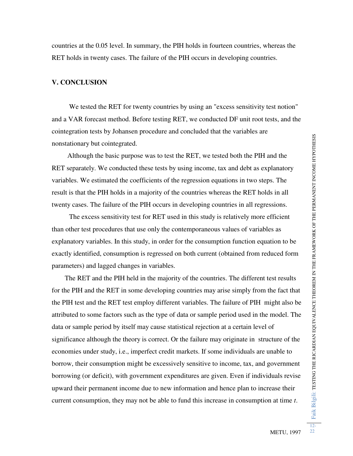countries at the 0.05 level. In summary, the PIH holds in fourteen countries, whereas the RET holds in twenty cases. The failure of the PIH occurs in developing countries.

### **V. CONCLUSION**

 We tested the RET for twenty countries by using an "excess sensitivity test notion" and a VAR forecast method. Before testing RET, we conducted DF unit root tests, and the cointegration tests by Johansen procedure and concluded that the variables are nonstationary but cointegrated.

 Although the basic purpose was to test the RET, we tested both the PIH and the RET separately. We conducted these tests by using income, tax and debt as explanatory variables. We estimated the coefficients of the regression equations in two steps. The result is that the PIH holds in a majority of the countries whereas the RET holds in all twenty cases. The failure of the PIH occurs in developing countries in all regressions.

 The excess sensitivity test for RET used in this study is relatively more efficient than other test procedures that use only the contemporaneous values of variables as explanatory variables. In this study, in order for the consumption function equation to be exactly identified, consumption is regressed on both current (obtained from reduced form parameters) and lagged changes in variables.

 The RET and the PIH held in the majority of the countries. The different test results for the PIH and the RET in some developing countries may arise simply from the fact that the PIH test and the RET test employ different variables. The failure of PIH might also be attributed to some factors such as the type of data or sample period used in the model. The data or sample period by itself may cause statistical rejection at a certain level of significance although the theory is correct. Or the failure may originate in structure of the economies under study, i.e., imperfect credit markets. If some individuals are unable to borrow, their consumption might be excessively sensitive to income, tax, and government borrowing (or deficit), with government expenditures are given. Even if individuals revise upward their permanent income due to new information and hence plan to increase their current consumption, they may not be able to fund this increase in consumption at time *t*.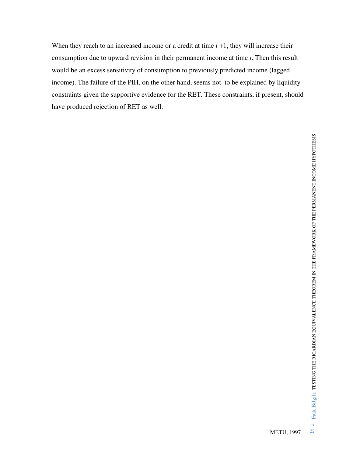When they reach to an increased income or a credit at time  $t + 1$ , they will increase their consumption due to upward revision in their permanent income at time *t*. Then this result would be an excess sensitivity of consumption to previously predicted income (lagged income). The failure of the PIH, on the other hand, seems not to be explained by liquidity constraints given the supportive evidence for the RET. These constraints, if present, should have produced rejection of RET as well.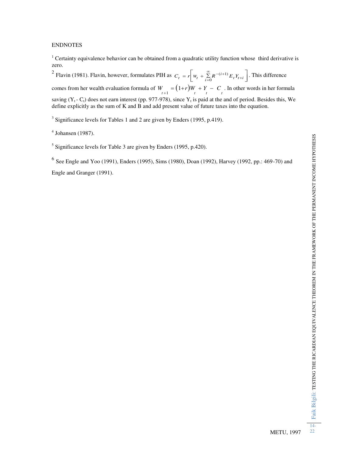# Faik Bilgili: testing the ricardian equivalence theorem in the framework of the permanent income hypothesis Faik Bilgili: TESTING THE RICARDIAN EQUIVALENCE THEOREM IN THE FRAMEWORK OF THE PERMANENT INCOME HYPOTHESIS

### ENDNOTES

<sup>1</sup> Certainty equivalence behavior can be obtained from a quadratic utility function whose third derivative is zero.

<sup>2</sup> Flavin (1981). Flavin, however, formulates PIH as  $C_t = r \left[ w_t + \sum_{i=0}^{\infty} R^{-(i+1)} E_t Y_{t+i} \right]$  $\lceil_{w+}\frac{\infty}{2}\rceil$  $\lfloor$ ٦  $(i+1) E_t Y_{t+i}$  $\left[ \sum_{i=0}^{n} R^{-\left( i+1\right) } E_{t} Y_{t+i} \right]$ . This difference comes from her wealth evaluation formula of  $W_{t+1} = (1+r)W_t + Y_t - C_t$ . In other words in her formula saving ( $Y_t$  - C<sub>t</sub>) does not earn interest (pp. 977-978), since  $Y_t$  is paid at the and of period. Besides this, We define explicitly as the sum of K and B and add present value of future taxes into the equation.

 $3$  Significance levels for Tables 1 and 2 are given by Enders (1995, p.419).

 $<sup>4</sup>$  Johansen (1987).</sup>

 $<sup>5</sup>$  Significance levels for Table 3 are given by Enders (1995, p.420).</sup>

<sup>6</sup> See Engle and Yoo (1991), Enders (1995), Sims (1980), Doan (1992), Harvey (1992, pp.: 469-70) and Engle and Granger (1991).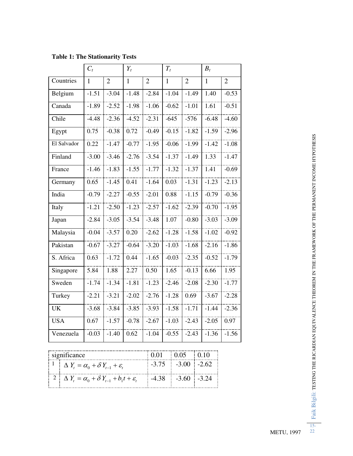|             | $C_t$        |                | $Y_t$   |                | $T_t$        |                | $B_t$        |                |
|-------------|--------------|----------------|---------|----------------|--------------|----------------|--------------|----------------|
| Countries   | $\mathbf{1}$ | $\overline{2}$ | 1       | $\overline{2}$ | $\mathbf{1}$ | $\overline{2}$ | $\mathbf{1}$ | $\overline{2}$ |
| Belgium     | $-1.51$      | $-3.04$        | $-1.48$ | $-2.84$        | $-1.04$      | $-1.49$        | 1.40         | $-0.53$        |
| Canada      | $-1.89$      | $-2.52$        | $-1.98$ | $-1.06$        | $-0.62$      | $-1.01$        | 1.61         | $-0.51$        |
| Chile       | $-4.48$      | $-2.36$        | $-4.52$ | $-2.31$        | $-645$       | $-576$         | $-6.48$      | $-4.60$        |
| Egypt       | 0.75         | $-0.38$        | 0.72    | $-0.49$        | $-0.15$      | $-1.82$        | $-1.59$      | $-2.96$        |
| El Salvador | 0.22         | $-1.47$        | $-0.77$ | $-1.95$        | $-0.06$      | $-1.99$        | $-1.42$      | $-1.08$        |
| Finland     | $-3.00$      | $-3.46$        | $-2.76$ | $-3.54$        | $-1.37$      | $-1.49$        | 1.33         | $-1.47$        |
| France      | $-1.46$      | $-1.83$        | $-1.55$ | $-1.77$        | $-1.32$      | $-1.37$        | 1.41         | $-0.69$        |
| Germany     | 0.65         | $-1.45$        | 0.41    | $-1.64$        | 0.03         | $-1.31$        | $-1.23$      | $-2.13$        |
| India       | $-0.79$      | $-2.27$        | $-0.55$ | $-2.01$        | 0.88         | $-1.15$        | $-0.79$      | $-0.36$        |
| Italy       | $-1.21$      | $-2.50$        | $-1.23$ | $-2.57$        | $-1.62$      | $-2.39$        | $-0.70$      | $-1.95$        |
| Japan       | $-2.84$      | $-3.05$        | $-3.54$ | $-3.48$        | 1.07         | $-0.80$        | $-3.03$      | $-3.09$        |
| Malaysia    | $-0.04$      | $-3.57$        | 0.20    | $-2.62$        | $-1.28$      | $-1.58$        | $-1.02$      | $-0.92$        |
| Pakistan    | $-0.67$      | $-3.27$        | $-0.64$ | $-3.20$        | $-1.03$      | $-1.68$        | $-2.16$      | $-1.86$        |
| S. Africa   | 0.63         | $-1.72$        | 0.44    | $-1.65$        | $-0.03$      | $-2.35$        | $-0.52$      | $-1.79$        |
| Singapore   | 5.84         | 1.88           | 2.27    | 0.50           | 1.65         | $-0.13$        | 6.66         | 1.95           |
| Sweden      | $-1.74$      | $-1.34$        | $-1.81$ | $-1.23$        | $-2.46$      | $-2.08$        | $-2.30$      | $-1.77$        |
| Turkey      | $-2.21$      | $-3.21$        | $-2.02$ | $-2.76$        | $-1.28$      | 0.69           | $-3.67$      | $-2.28$        |
| <b>UK</b>   | $-3.68$      | $-3.84$        | $-3.85$ | $-3.93$        | $-1.58$      | $-1.71$        | $-1.44$      | $-2.36$        |
| <b>USA</b>  | 0.67         | $-1.57$        | $-0.78$ | $-2.67$        | $-1.03$      | $-2.43$        | $-2.05$      | 0.97           |
| Venezuela   | $-0.03$      | $-1.40$        | 0.62    | $-1.04$        | $-0.55$      | $-2.43$        | $-1.36$      | $-1.56$        |

**Table 1: The Stationarity Tests** 

| significance                                                                                    | $0.01 \pm 0.05 \pm 0.10$ |  |
|-------------------------------------------------------------------------------------------------|--------------------------|--|
| $\begin{bmatrix} 1 \\ 1 \end{bmatrix}$ $\Delta Y_t = \alpha_0 + \delta Y_{t-1} + \varepsilon_t$ | $-3.75$ $-3.00$ $-2.62$  |  |
| $ 2  \Delta Y_t = \alpha_0 + \delta Y_{t-1} + b_1 t + \varepsilon_t$                            | $-4.38$ $-3.60$ $-3.24$  |  |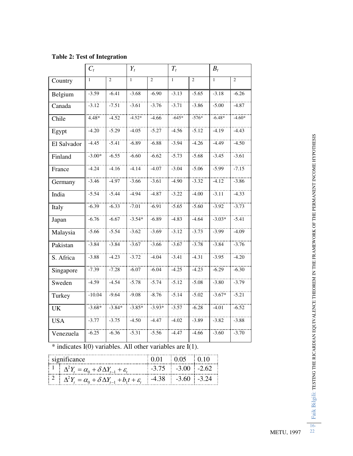|             | $C_t$        |                | $Y_t$        |                | $T_t$        |                | $B_t$        |                |
|-------------|--------------|----------------|--------------|----------------|--------------|----------------|--------------|----------------|
| Country     | $\mathbf{1}$ | $\overline{2}$ | $\mathbf{1}$ | $\overline{c}$ | $\mathbf{1}$ | $\overline{c}$ | $\mathbf{1}$ | $\overline{2}$ |
| Belgium     | $-3.59$      | $-6.41$        | $-3.68$      | $-6.90$        | $-3.13$      | $-5.65$        | $-3.18$      | $-6.26$        |
| Canada      | $-3.12$      | $-7.51$        | $-3.61$      | $-3.76$        | $-3.71$      | $-3.86$        | $-5.00$      | $-4.87$        |
| Chile       | $4.48*$      | $-4.52$        | $-4.52*$     | $-4.66$        | $-645*$      | $-576*$        | $-6.48*$     | $-4.60*$       |
| Egypt       | $-4.20$      | $-5.29$        | $-4.05$      | $-5.27$        | $-4.56$      | $-5.12$        | $-4.19$      | -4.43          |
| El Salvador | $-4.45$      | $-5.41$        | $-6.89$      | $-6.88$        | $-3.94$      | $-4.26$        | $-4.49$      | $-4.50$        |
| Finland     | $-3.00*$     | $-6.55$        | $-6.60$      | $-6.62$        | $-5.73$      | $-5.68$        | $-3.45$      | $-3.61$        |
| France      | $-4.24$      | $-4.16$        | $-4.14$      | $-4.07$        | $-3.04$      | $-5.06$        | $-5.99$      | $-7.15$        |
| Germany     | $-3.46$      | $-4.97$        | $-3.66$      | $-3.61$        | $-4.90$      | $-3.32$        | $-4.12$      | $-3.86$        |
| India       | $-5.54$      | $-5.44$        | $-4.94$      | $-4.87$        | $-3.22$      | $-4.00$        | $-3.11$      | $-4.33$        |
| Italy       | $-6.39$      | $-6.33$        | $-7.01$      | $-6.91$        | $-5.65$      | $-5.60$        | $-3.92$      | $-3.73$        |
| Japan       | $-6.76$      | $-6.67$        | $-3.54*$     | $-6.89$        | $-4.83$      | $-4.64$        | $-3.03*$     | $-5.41$        |
| Malaysia    | $-5.66$      | $-5.54$        | $-3.62$      | $-3.69$        | $-3.12$      | $-3.73$        | $-3.99$      | $-4.09$        |
| Pakistan    | $-3.84$      | $-3.84$        | $-3.67$      | $-3.66$        | $-3.67$      | $-3.78$        | $-3.84$      | $-3.76$        |
| S. Africa   | $-3.88$      | $-4.23$        | $-3.72$      | $-4.04$        | $-3.41$      | $-4.31$        | $-3.95$      | $-4.20$        |
| Singapore   | $-7.39$      | $-7.28$        | $-6.07$      | $-6.04$        | $-4.25$      | $-4.23$        | $-6.29$      | $-6.30$        |
| Sweden      | $-4.59$      | $-4.54$        | $-5.78$      | $-5.74$        | $-5.12$      | $-5.08$        | $-3.80$      | $-3.79$        |
| Turkey      | $-10.04$     | $-9.64$        | $-9.08$      | $-8.76$        | $-5.14$      | $-5.02$        | $-3.67*$     | $-5.21$        |
| <b>UK</b>   | $-3.68*$     | $-3.84*$       | $-3.85*$     | $-3.93*$       | $-3.57$      | $-6.28$        | $-4.01$      | $-6.52$        |
| <b>USA</b>  | $-3.77$      | $-3.75$        | $-4.50$      | $-4.47$        | $-4.02$      | $-3.89$        | $-3.82$      | $-3.88$        |
| Venezuela   | $-6.25$      | $-6.36$        | $-5.31$      | $-5.56$        | $-4.47$      | $-4.66$        | $-3.60$      | $-3.70$        |

**Table 2: Test of Integration** 

 $*$  indicates I(0) variables. All other variables are I(1).

| $\frac{1}{2}$ significance                                                                                                                   | $0.01 \pm 0.05 \pm 0.10$ |                         |  |
|----------------------------------------------------------------------------------------------------------------------------------------------|--------------------------|-------------------------|--|
| $\mathcal{L}^1$ $\Delta^2 Y_t = \alpha_0 + \delta \Delta Y_{t-1} + \varepsilon_t$                                                            |                          | $-3.75$ $-3.00$ $-2.62$ |  |
| $\left  \begin{array}{cc} 2 & \Delta^2 Y_t = \alpha_0 + \delta \Delta Y_{t-1} + b_1 t + \varepsilon_t \end{array} \right $ -4.38 -3.60 -3.24 |                          |                         |  |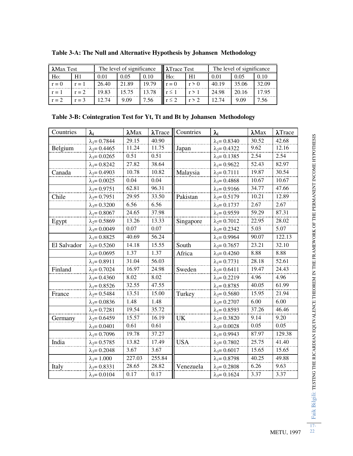| $\lambda$ Max Test | The level of significance |       | $\blacksquare$ $\lambda$ Trace Test |       | The level of significance |       |       |       |          |
|--------------------|---------------------------|-------|-------------------------------------|-------|---------------------------|-------|-------|-------|----------|
| $H_0$ :            |                           | 0.01  | 0.05                                | 0.10  | $H_0$ :                   | H     | 0.01  | 0.05  | $0.10\,$ |
| $r = 0$            | $r = 1$                   | 26.40 | 21.89                               | 19.79 |                           | r > 0 | 40.19 | 35.06 | 32.09    |
| $r = 1$            | $r = 2$                   | 9.83  | 15.75                               | 13.78 |                           |       | 24.98 | 20.16 | 17.95    |
| $r = 2$            | $=$ 3                     | 2.74  | 9.09                                | .56   |                           |       | 12.74 | 9.09  | .56      |

**Table 3-A: The Null and Alternative Hypothesis by Johansen Methodology** 

| Table 3-B: Cointegration Test for Yt, Tt and Bt by Johansen Methodology |  |  |  |
|-------------------------------------------------------------------------|--|--|--|
|-------------------------------------------------------------------------|--|--|--|

| Countries   | $\lambda_i$          | $\lambda$ Max | $\lambda$ Trace | Countries  | $\lambda_i$          | $\lambda$ Max | $\lambda$ Trace |
|-------------|----------------------|---------------|-----------------|------------|----------------------|---------------|-----------------|
|             | $\lambda_1 = 0.7844$ | 29.15         | 40.90           |            | $\lambda_1 = 0.8340$ | 30.52         | 42.68           |
| Belgium     | $\lambda_2 = 0.4465$ | 11.24         | 11.75           | Japan      | $\lambda_2 = 0.4322$ | 9.62          | 12.16           |
|             | $\lambda_3 = 0.0265$ | 0.51          | 0.51            |            | $\lambda_3 = 0.1385$ | 2.54          | 2.54            |
|             | $\lambda_1 = 0.8242$ | 27.82         | 38.64           |            | $\lambda_1 = 0.9622$ | 52.43         | 82.97           |
| Canada      | $\lambda_2 = 0.4903$ | 10.78         | 10.82           | Malaysia   | $\lambda_2 = 0.7111$ | 19.87         | 30.54           |
|             | $\lambda_3 = 0.0025$ | 0.04          | 0.04            |            | $\lambda_3 = 0.4868$ | 10.67         | 10.67           |
|             | $\lambda_1 = 0.9751$ | 62.81         | 96.31           |            | $\lambda_1 = 0.9166$ | 34.77         | 47.66           |
| Chile       | $\lambda_2 = 0.7951$ | 29.95         | 33.50           | Pakistan   | $\lambda_2 = 0.5179$ | 10.21         | 12.89           |
|             | $\lambda_3 = 0.3200$ | 6.56          | 6.56            |            | $\lambda_3 = 0.1737$ | 2.67          | 2.67            |
|             | $\lambda_1 = 0.8067$ | 24.65         | 37.98           |            | $\lambda_1 = 0.9559$ | 59.29         | 87.31           |
| Egypt       | $\lambda_2 = 0.5869$ | 13.26         | 13.33           | Singapore  | $\lambda_2 = 0.7012$ | 22.95         | 28.02           |
|             | $\lambda_3 = 0.0049$ | 0.07          | 0.07            |            | $\lambda_3 = 0.2342$ | 5.03          | 5.07            |
|             | $\lambda_1 = 0.8825$ | 40.69         | 56.24           |            | $\lambda_1 = 0.9964$ | 90.07         | 122.13          |
| El Salvador | $\lambda_2 = 0.5260$ | 14.18         | 15.55           | South      | $\lambda_2 = 0.7657$ | 23.21         | 32.10           |
|             | $\lambda_3 = 0.0695$ | 1.37          | 1.37            | Africa     | $\lambda_3 = 0.4260$ | 8.88          | 8.88            |
|             | $\lambda_1 = 0.8911$ | 31.04         | 56.03           |            | $\lambda_1 = 0.7731$ | 28.18         | 52.61           |
| Finland     | $\lambda_2 = 0.7024$ | 16.97         | 24.98           | Sweden     | $\lambda_2 = 0.6411$ | 19.47         | 24.43           |
|             | $\lambda_3 = 0.4360$ | 8.02          | 8.02            |            | $\lambda_3 = 0.2219$ | 4.96          | 4.96            |
|             | $\lambda_1 = 0.8526$ | 32.55         | 47.55           |            | $\lambda_1 = 0.8785$ | 40.05         | 61.99           |
| France      | $\lambda_2 = 0.5484$ | 13.51         | 15.00           | Turkey     | $\lambda_2 = 0.5680$ | 15.95         | 21.94           |
|             | $\lambda_3 = 0.0836$ | 1.48          | 1.48            |            | $\lambda_3 = 0.2707$ | 6.00          | 6.00            |
|             | $\lambda_1 = 0.7281$ | 19.54         | 35.72           |            | $\lambda_1 = 0.8593$ | 37.26         | 46.46           |
| Germany     | $\lambda_2 = 0.6459$ | 15.57         | 16.19           | UK         | $\lambda_2 = 0.3820$ | 9.14          | 9.20            |
|             | $\lambda_3 = 0.0401$ | 0.61          | 0.61            |            | $\lambda_3 = 0.0028$ | 0.05          | 0.05            |
|             | $\lambda_1 = 0.7096$ | 19.78         | 37.27           |            | $\lambda_1 = 0.9943$ | 87.97         | 129.38          |
| India       | $\lambda_2 = 0.5785$ | 13.82         | 17.49           | <b>USA</b> | $\lambda_2 = 0.7802$ | 25.75         | 41.40           |
|             | $\lambda_3 = 0.2048$ | 3.67          | 3.67            |            | $\lambda_3 = 0.6017$ | 15.65         | 15.65           |
|             | $\lambda_1 = 1.000$  | 227.03        | 255.84          |            | $\lambda_1 = 0.8798$ | 40.25         | 49.88           |
| Italy       | $\lambda_2 = 0.8331$ | 28.65         | 28.82           | Venezuela  | $\lambda_2 = 0.2808$ | 6.26          | 9.63            |
|             | $\lambda_3 = 0.0104$ | 0.17          | 0.17            |            | $\lambda_3 = 0.1624$ | 3.37          | 3.37            |

Faik Bilgili: TESTING THE RICARDIAN EQUIVALENCE THEOREM IN THE FRAMEWORK OF THE PERMANENT INCOME HYPOTHESIS 17-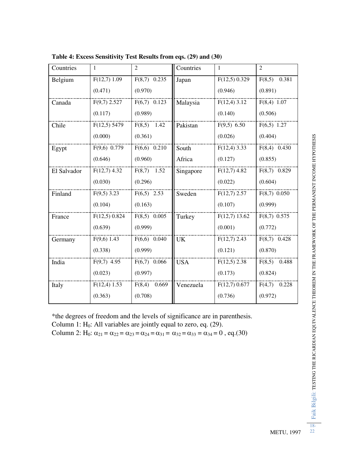| Countries   | 1               | $\overline{2}$ | Countries  | 1               | $\overline{2}$  |
|-------------|-----------------|----------------|------------|-----------------|-----------------|
| Belgium     | $F(12,7)$ 1.09  | $F(8,7)$ 0.235 | Japan      | $F(12,5)$ 0.329 | 0.381<br>F(8,5) |
|             | (0.471)         | (0.970)        |            | (0.946)         | (0.891)         |
| Canada      | $F(9,7)$ 2.527  | $F(6,7)$ 0.123 | Malaysia   | $F(12,4)$ 3.12  | $F(8,4)$ 1.07   |
|             | (0.117)         | (0.989)        |            | (0.140)         | (0.506)         |
| Chile       | $F(12,5)$ 5479  | $F(8,5)$ 1.42  | Pakistan   | F(9,5) 6.50     | $F(6,5)$ 1.27   |
|             | (0.000)         | (0.361)        |            | (0.026)         | (0.404)         |
| Egypt       | $F(9,6)$ 0.779  | $F(6,6)$ 0.210 | South      | $F(12,4)$ 3.33  | $F(8,4)$ 0.430  |
|             | (0.646)         | (0.960)        | Africa     | (0.127)         | (0.855)         |
| El Salvador | $F(12,7)$ 4.32  | $F(8,7)$ 1.52  | Singapore  | $F(12,7)$ 4.82  | $F(8,7)$ 0.829  |
|             | (0.030)         | (0.296)        |            | (0.022)         | (0.604)         |
| Finland     | $F(9,5)$ 3.23   | $F(6,5)$ 2.53  | Sweden     | $F(12,7)$ 2.57  | $F(8,7)$ 0.050  |
|             | (0.104)         | (0.163)        |            | (0.107)         | (0.999)         |
| France      | $F(12,5)$ 0.824 | $F(8,5)$ 0.005 | Turkey     | $F(12,7)$ 13.62 | $F(8,7)$ 0.575  |
|             | (0.639)         | (0.999)        |            | (0.001)         | (0.772)         |
| Germany     | $F(9,6)$ 1.43   | $F(6,6)$ 0.040 | <b>UK</b>  | $F(12,7)$ 2.43  | $F(8,7)$ 0.428  |
|             | (0.338)         | (0.999)        |            | (0.121)         | (0.870)         |
| India       | $F(9,7)$ 4.95   | $F(6,7)$ 0.066 | <b>USA</b> | $F(12,5)$ 2.38  | $F(8,5)$ 0.488  |
|             | (0.023)         | (0.997)        |            | (0.173)         | (0.824)         |
| Italy       | $F(12,4)$ 1.53  | $F(8,4)$ 0.669 | Venezuela  | $F(12,7)$ 0.677 | $F(4,7)$ 0.228  |
|             | (0.363)         | (0.708)        |            | (0.736)         | (0.972)         |

**Table 4: Excess Sensitivity Test Results from eqs. (29) and (30)**

\*the degrees of freedom and the levels of significance are in parenthesis. Column 1:  $H_0$ : All variables are jointly equal to zero, eq. (29). Column 2: H<sub>0</sub>:  $\alpha_{21} = \alpha_{22} = \alpha_{23} = \alpha_{24} = \alpha_{31} = \alpha_{32} = \alpha_{33} = \alpha_{34} = 0$ , eq.(30)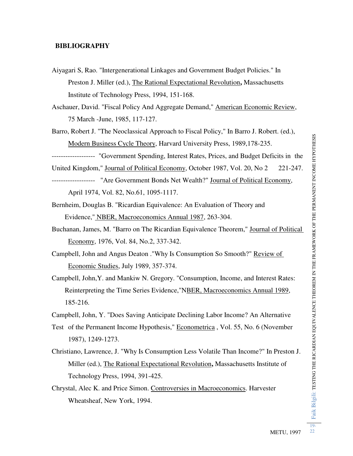### **BIBLIOGRAPHY**

- Aiyagari S, Rao. "Intergenerational Linkages and Government Budget Policies." In Preston J. Miller (ed.), The Rational Expectational Revolution**,** Massachusetts Institute of Technology Press, 1994, 151-168.
- Aschauer, David. "Fiscal Policy And Aggregate Demand," American Economic Review, 75 March -June, 1985, 117-127.
- Barro, Robert J. "The Neoclassical Approach to Fiscal Policy," In Barro J. Robert. (ed.), Modern Business Cycle Theory, Harvard University Press, 1989,178-235.

------------------- "Government Spending, Interest Rates, Prices, and Budget Deficits in the

United Kingdom," Journal of Political Economy, October 1987, Vol. 20, No 2 221-247.

- ------------------- "Are Government Bonds Net Wealth?" Journal of Political Economy, April 1974, Vol. 82, No.61, 1095-1117.
- Bernheim, Douglas B. "Ricardian Equivalence: An Evaluation of Theory and Evidence," NBER, Macroeconomics Annual 1987, 263-304.
- Buchanan, James, M. "Barro on The Ricardian Equivalence Theorem," Journal of Political Economy, 1976, Vol. 84, No.2, 337-342.
- Campbell, John and Angus Deaton ."Why Is Consumption So Smooth?" Review of Economic Studies, July 1989, 357-374.
- Campbell, John,Y. and Mankiw N. Gregory. "Consumption, Income, and Interest Rates: Reinterpreting the Time Series Evidence,"NBER, Macroeconomics Annual 1989, 185-216.

Campbell, John, Y. "Does Saving Anticipate Declining Labor Income? An Alternative

- Test of the Permanent Income Hypothesis," Econometrica , Vol. 55, No. 6 (November 1987), 1249-1273.
- Christiano, Lawrence, J. "Why Is Consumption Less Volatile Than Income?" In Preston J. Miller (ed.), The Rational Expectational Revolution**,** Massachusetts Institute of Technology Press, 1994, 391-425.
- Chrystal, Alec K. and Price Simon. Controversies in Macroeconomics. Harvester Wheatsheaf, New York, 1994.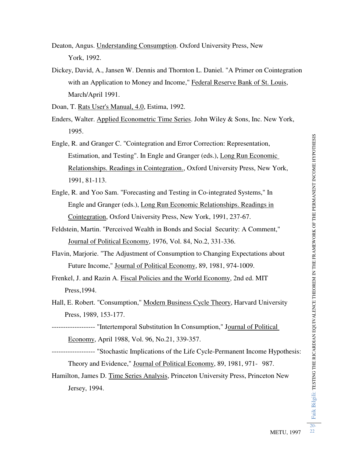Deaton, Angus. Understanding Consumption. Oxford University Press, New York, 1992.

Dickey, David, A., Jansen W. Dennis and Thornton L. Daniel. "A Primer on Cointegration with an Application to Money and Income," Federal Reserve Bank of St. Louis, March/April 1991.

Doan, T. Rats User's Manual, 4.0, Estima, 1992.

- Enders, Walter. Applied Econometric Time Series. John Wiley & Sons, Inc. New York, 1995.
- Engle, R. and Granger C. "Cointegration and Error Correction: Representation, Estimation, and Testing". In Engle and Granger (eds.), Long Run Economic Relationships. Readings in Cointegration., Oxford University Press, New York, 1991, 81-113.
- Engle, R. and Yoo Sam. "Forecasting and Testing in Co-integrated Systems," In Engle and Granger (eds.), Long Run Economic Relationships. Readings in Cointegration, Oxford University Press, New York, 1991, 237-67.
- Feldstein, Martin. "Perceived Wealth in Bonds and Social Security: A Comment," Journal of Political Economy, 1976, Vol. 84, No.2, 331-336.
- Flavin, Marjorie. "The Adjustment of Consumption to Changing Expectations about Future Income," Journal of Political Economy, 89, 1981, 974-1009.
- Frenkel, J. and Razin A. Fiscal Policies and the World Economy, 2nd ed. MIT Press,1994.
- Hall, E. Robert. "Consumption," Modern Business Cycle Theory, Harvard University Press, 1989, 153-177.
- ------------------- "Intertemporal Substitution In Consumption," Journal of Political Economy, April 1988, Vol. 96, No.21, 339-357.
- ------------------- "Stochastic Implications of the Life Cycle-Permanent Income Hypothesis: Theory and Evidence," Journal of Political Economy, 89, 1981, 971- 987.
- Hamilton, James D. Time Series Analysis, Princeton University Press, Princeton New Jersey, 1994.

20-  $\overline{22}$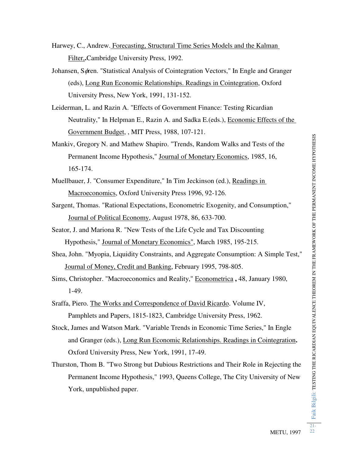- Harwey, C., Andrew. Forecasting, Structural Time Series Models and the Kalman Filter,**.**Cambridge University Press, 1992.
- Johansen, Søren. "Statistical Analysis of Cointegration Vectors," In Engle and Granger (eds), Long Run Economic Relationships. Readings in Cointegration, Oxford University Press, New York, 1991, 131-152.
- Leiderman, L. and Razin A. "Effects of Government Finance: Testing Ricardian Neutrality," In Helpman E., Razin A. and Sadka E.(eds.), Economic Effects of the Government Budget, , MIT Press, 1988, 107-121.
- Mankiv, Gregory N. and Mathew Shapiro. "Trends, Random Walks and Tests of the Permanent Income Hypothesis," Journal of Monetary Economics, 1985, 16, 165-174.
- Muellbauer, J. "Consumer Expenditure," In Tim Jeckinson (ed.), Readings in Macroeconomics, Oxford University Press 1996, 92-126.
- Sargent, Thomas. "Rational Expectations, Econometric Exogenity, and Consumption," Journal of Political Economy, August 1978, 86, 633-700.
- Seator, J. and Mariona R. "New Tests of the Life Cycle and Tax Discounting Hypothesis," Journal of Monetary Economics", March 1985, 195-215.
- Shea, John. "Myopia, Liquidity Constraints, and Aggregate Consumption: A Simple Test," Journal of Money, Credit and Banking, February 1995, 798-805.
- Sims, Christopher. "Macroeconomics and Reality," Econometrica **,** 48, January 1980, 1-49.
- Sraffa, Piero. The Works and Correspondence of David Ricardo. Volume IV, Pamphlets and Papers, 1815-1823, Cambridge University Press, 1962.
- Stock, James and Watson Mark. "Variable Trends in Economic Time Series," In Engle and Granger (eds.), Long Run Economic Relationships. Readings in Cointegration**.** Oxford University Press, New York, 1991, 17-49.
- Thurston, Thom B. "Two Strong but Dubious Restrictions and Their Role in Rejecting the Permanent Income Hypothesis," 1993, Queens College, The City University of New York, unpublished paper.